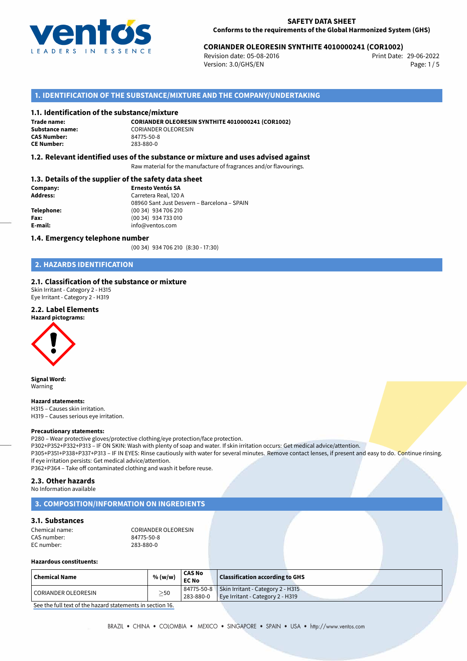

# 29-06-2022 **CORIANDER OLEORESIN SYNTHITE 4010000241 (COR1002)**

Revision date: 05-08-2016 Version: 3.0/GHS/EN Page: 1/5

# **1. IDENTIFICATION OF THE SUBSTANCE/MIXTURE AND THE COMPANY/UNDERTAKING**

#### **1.1. Identification of the substance/mixture**

**Trade name: CAS Number: CE Number:** 283-880-0

**CORIANDER OLEORESIN SYNTHITE 4010000241 (COR1002) Substance name:** CORIANDER OLEORESIN<br> **CAS Number:** 84775-50-8

## **1.2. Relevant identified uses of the substance or mixture and uses advised against**

Raw material for the manufacture of fragrances and/or flavourings.

## **1.3. Details of the supplier of the safety data sheet**

| Company:        | <b>Ernesto Ventós SA</b>                    |
|-----------------|---------------------------------------------|
| <b>Address:</b> | Carretera Real, 120 A                       |
|                 | 08960 Sant Just Desvern - Barcelona - SPAIN |
| Telephone:      | (00 34) 934 706 210                         |
| Fax:            | (00 34) 934 733 010                         |
| E-mail:         | info@ventos.com                             |
|                 |                                             |

#### **1.4. Emergency telephone number**

(00 34) 934 706 210 (8:30 - 17:30)

# **2. HAZARDS IDENTIFICATION**

## **2.1. Classification of the substance or mixture**

Skin Irritant - Category 2 - H315 Eye Irritant - Category 2 - H319

### **2.2. Label Elements**



**Signal Word:** Warning

**Hazard statements:** H315 – Causes skin irritation.

H319 – Causes serious eye irritation.

#### **Precautionary statements:**

P280 – Wear protective gloves/protective clothing/eye protection/face protection.

P302+P352+P332+P313 – IF ON SKIN: Wash with plenty of soap and water. If skin irritation occurs: Get medical advice/attention. P305+P351+P338+P337+P313 – IF IN EYES: Rinse cautiously with water for several minutes. Remove contact lenses, if present and easy to do. Continue rinsing. If eye irritation persists: Get medical advice/attention.

P362+P364 – Take off contaminated clothing and wash it before reuse.

## **2.3. Other hazards**

No Information available

# **3. COMPOSITION/INFORMATION ON INGREDIENTS**

## **3.1. Substances**

| Chemical name: | CORIANDER OLEORESIN |
|----------------|---------------------|
| CAS number:    | 84775-50-8          |
| EC number:     | 283-880-0           |

## **Hazardous constituents:**

| Chemical Name       | % (w/w)  | <b>CAS No</b><br><b>EC No</b> | <b>Classification according to GHS</b>         |
|---------------------|----------|-------------------------------|------------------------------------------------|
| CORIANDER OLEORESIN | $>_{50}$ |                               | 84775-50-8   Skin Irritant - Category 2 - H315 |
|                     | -        | 283-880-0                     | Eye Irritant - Category 2 - H319               |

[See the full text of the hazard statements in section 16.](#page--1-0)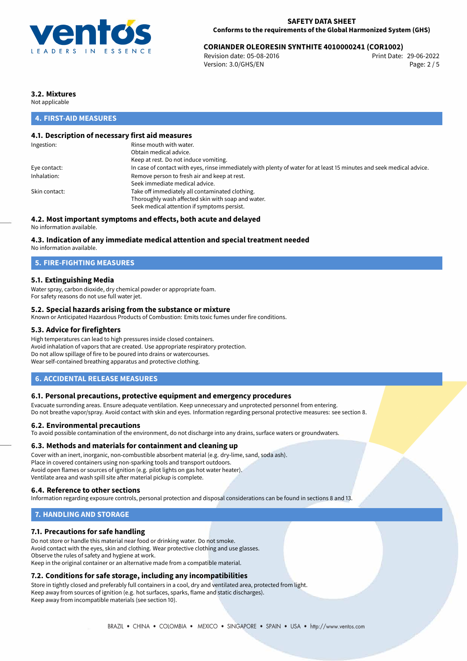

# 29-06-2022 **CORIANDER OLEORESIN SYNTHITE 4010000241 (COR1002)**

Revision date: 05-08-2016 Version: 3.0/GHS/EN Page: 2 / 5

# **3.2. Mixtures**

Not applicable

# **4. FIRST-AID MEASURES**

# **4.1. Description of necessary first aid measures**

| Ingestion:    | Rinse mouth with water.                                                                                               |
|---------------|-----------------------------------------------------------------------------------------------------------------------|
|               | Obtain medical advice.                                                                                                |
|               | Keep at rest. Do not induce vomiting.                                                                                 |
| Eye contact:  | In case of contact with eyes, rinse immediately with plenty of water for at least 15 minutes and seek medical advice. |
| Inhalation:   | Remove person to fresh air and keep at rest.                                                                          |
|               | Seek immediate medical advice.                                                                                        |
| Skin contact: | Take off immediately all contaminated clothing.                                                                       |
|               | Thoroughly wash affected skin with soap and water.                                                                    |
|               | Seek medical attention if symptoms persist.                                                                           |
|               |                                                                                                                       |

# **4.2. Most important symptoms and effects, both acute and delayed**

No information available.

## **4.3. Indication of any immediate medical attention and special treatment needed**

No information available.

# **5. FIRE-FIGHTING MEASURES**

## **5.1. Extinguishing Media**

Water spray, carbon dioxide, dry chemical powder or appropriate foam. For safety reasons do not use full water jet.

## **5.2. Special hazards arising from the substance or mixture**

Known or Anticipated Hazardous Products of Combustion: Emits toxic fumes under fire conditions.

## **5.3. Advice for firefighters**

High temperatures can lead to high pressures inside closed containers. Avoid inhalation of vapors that are created. Use appropriate respiratory protection. Do not allow spillage of fire to be poured into drains or watercourses. Wear self-contained breathing apparatus and protective clothing.

## **6. ACCIDENTAL RELEASE MEASURES**

### **6.1. Personal precautions, protective equipment and emergency procedures**

Evacuate surronding areas. Ensure adequate ventilation. Keep unnecessary and unprotected personnel from entering. Do not breathe vapor/spray. Avoid contact with skin and eyes. Information regarding personal protective measures: see section 8.

#### **6.2. Environmental precautions**

To avoid possible contamination of the environment, do not discharge into any drains, surface waters or groundwaters.

#### **6.3. Methods and materials for containment and cleaning up**

Cover with an inert, inorganic, non-combustible absorbent material (e.g. dry-lime, sand, soda ash). Place in covered containers using non-sparking tools and transport outdoors. Avoid open flames or sources of ignition (e.g. pilot lights on gas hot water heater). Ventilate area and wash spill site after material pickup is complete.

## **6.4. Reference to other sections**

Information regarding exposure controls, personal protection and disposal considerations can be found in sections 8 and 13.

# **7. HANDLING AND STORAGE**

## **7.1. Precautions for safe handling**

Do not store or handle this material near food or drinking water. Do not smoke. Avoid contact with the eyes, skin and clothing. Wear protective clothing and use glasses. Observe the rules of safety and hygiene at work. Keep in the original container or an alternative made from a compatible material.

# **7.2. Conditions for safe storage, including any incompatibilities**

Store in tightly closed and preferably full containers in a cool, dry and ventilated area, protected from light. Keep away from sources of ignition (e.g. hot surfaces, sparks, flame and static discharges). Keep away from incompatible materials (see section 10).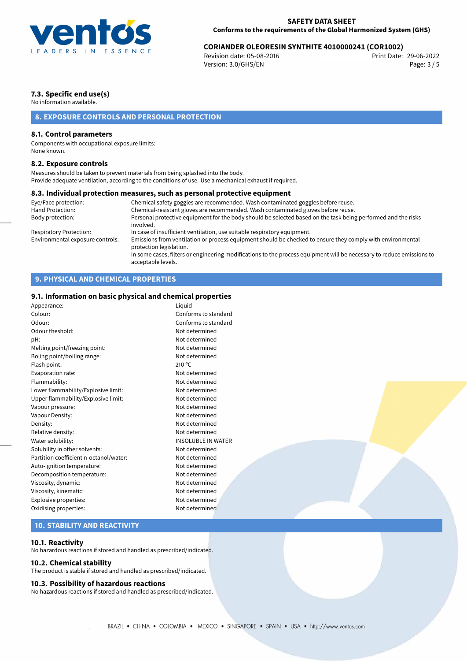

# 29-06-2022 **CORIANDER OLEORESIN SYNTHITE 4010000241 (COR1002)**

Revision date: 05-08-2016 Version: 3.0/GHS/EN Page: 3 / 5

# **7.3. Specific end use(s)**

No information available.

# **8. EXPOSURE CONTROLS AND PERSONAL PROTECTION**

# **8.1. Control parameters**

Components with occupational exposure limits: None known.

## **8.2. Exposure controls**

Measures should be taken to prevent materials from being splashed into the body. Provide adequate ventilation, according to the conditions of use. Use a mechanical exhaust if required.

### **8.3. Individual protection measures, such as personal protective equipment**

| Eye/Face protection:             | Chemical safety goggles are recommended. Wash contaminated goggles before reuse.                                                            |
|----------------------------------|---------------------------------------------------------------------------------------------------------------------------------------------|
| Hand Protection:                 | Chemical-resistant gloves are recommended. Wash contaminated gloves before reuse.                                                           |
| Body protection:                 | Personal protective equipment for the body should be selected based on the task being performed and the risks<br>involved.                  |
| Respiratory Protection:          | In case of insufficient ventilation, use suitable respiratory equipment.                                                                    |
| Environmental exposure controls: | Emissions from ventilation or process equipment should be checked to ensure they comply with environmental<br>protection legislation.       |
|                                  | In some cases, filters or engineering modifications to the process equipment will be necessary to reduce emissions to<br>acceptable levels. |

# **9. PHYSICAL AND CHEMICAL PROPERTIES**

## **9.1. Information on basic physical and chemical properties**

| Appearance:                            | Liquid                    |  |  |
|----------------------------------------|---------------------------|--|--|
| Colour:                                | Conforms to standard      |  |  |
| Odour:                                 | Conforms to standard      |  |  |
| Odour theshold:                        | Not determined            |  |  |
| pH:                                    | Not determined            |  |  |
| Melting point/freezing point:          | Not determined            |  |  |
| Boling point/boiling range:            | Not determined            |  |  |
| Flash point:                           | $210^{\circ}$ C           |  |  |
| Evaporation rate:                      | Not determined            |  |  |
| Flammability:                          | Not determined            |  |  |
| Lower flammability/Explosive limit:    | Not determined            |  |  |
| Upper flammability/Explosive limit:    | Not determined            |  |  |
| Vapour pressure:                       | Not determined            |  |  |
| Vapour Density:                        | Not determined            |  |  |
| Density:                               | Not determined            |  |  |
| Relative density:                      | Not determined            |  |  |
| Water solubility:                      | <b>INSOLUBLE IN WATER</b> |  |  |
| Solubility in other solvents:          | Not determined            |  |  |
| Partition coefficient n-octanol/water: | Not determined            |  |  |
| Auto-ignition temperature:             | Not determined            |  |  |
| Decomposition temperature:             | Not determined            |  |  |
| Viscosity, dynamic:                    | Not determined            |  |  |
| Viscosity, kinematic:                  | Not determined            |  |  |
| Explosive properties:                  | Not determined            |  |  |
| Oxidising properties:                  | Not determined            |  |  |
|                                        |                           |  |  |

# **10. STABILITY AND REACTIVITY**

### **10.1. Reactivity**

No hazardous reactions if stored and handled as prescribed/indicated.

## **10.2. Chemical stability**

The product is stable if stored and handled as prescribed/indicated.

#### **10.3. Possibility of hazardous reactions**

No hazardous reactions if stored and handled as prescribed/indicated.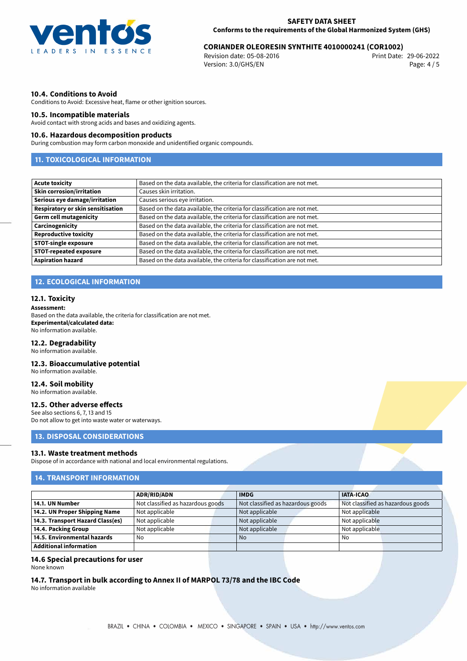

# 29-06-2022 **CORIANDER OLEORESIN SYNTHITE 4010000241 (COR1002)**

Revision date: 05-08-2016 Version: 3.0/GHS/EN Page: 4 / 5

# **10.4. Conditions to Avoid**

Conditions to Avoid: Excessive heat, flame or other ignition sources.

## **10.5. Incompatible materials**

Avoid contact with strong acids and bases and oxidizing agents.

## **10.6. Hazardous decomposition products**

During combustion may form carbon monoxide and unidentified organic compounds.

# **11. TOXICOLOGICAL INFORMATION**

| <b>Acute toxicity</b>             | Based on the data available, the criteria for classification are not met. |
|-----------------------------------|---------------------------------------------------------------------------|
| <b>Skin corrosion/irritation</b>  | Causes skin irritation.                                                   |
| Serious eye damage/irritation     | Causes serious eye irritation.                                            |
| Respiratory or skin sensitisation | Based on the data available, the criteria for classification are not met. |
| <b>Germ cell mutagenicity</b>     | Based on the data available, the criteria for classification are not met. |
| Carcinogenicity                   | Based on the data available, the criteria for classification are not met. |
| <b>Reproductive toxicity</b>      | Based on the data available, the criteria for classification are not met. |
| <b>STOT-single exposure</b>       | Based on the data available, the criteria for classification are not met. |
| <b>STOT-repeated exposure</b>     | Based on the data available, the criteria for classification are not met. |
| <b>Aspiration hazard</b>          | Based on the data available, the criteria for classification are not met. |

# **12. ECOLOGICAL INFORMATION**

## **12.1. Toxicity**

#### **Assessment:**

Based on the data available, the criteria for classification are not met. **Experimental/calculated data:** No information available.

#### **12.2. Degradability**

No information available.

## **12.3. Bioaccumulative potential**

No information available.

# **12.4. Soil mobility**

No information available.

### **12.5. Other adverse effects**

See also sections 6, 7, 13 and 15 Do not allow to get into waste water or waterways.

# **13. DISPOSAL CONSIDERATIONS**

#### **13.1. Waste treatment methods**

Dispose of in accordance with national and local environmental regulations.

# **14. TRANSPORT INFORMATION**

|                                  | <b>ADR/RID/ADN</b>                |  | <b>IMDG</b>                       |  | <b>IATA-ICAO</b>                  |  |
|----------------------------------|-----------------------------------|--|-----------------------------------|--|-----------------------------------|--|
| 14.1. UN Number                  | Not classified as hazardous goods |  | Not classified as hazardous goods |  | Not classified as hazardous goods |  |
| 14.2. UN Proper Shipping Name    | Not applicable                    |  | Not applicable                    |  | Not applicable                    |  |
| 14.3. Transport Hazard Class(es) | Not applicable                    |  | Not applicable                    |  | Not applicable                    |  |
| 14.4. Packing Group              | Not applicable                    |  | Not applicable                    |  | Not applicable                    |  |
| 14.5. Environmental hazards      | No                                |  | <b>No</b>                         |  | No                                |  |
| Additional information           |                                   |  |                                   |  |                                   |  |

### **14.6 Special precautions for user**

None known

# **14.7. Transport in bulk according to Annex II of MARPOL 73/78 and the IBC Code**

No information available